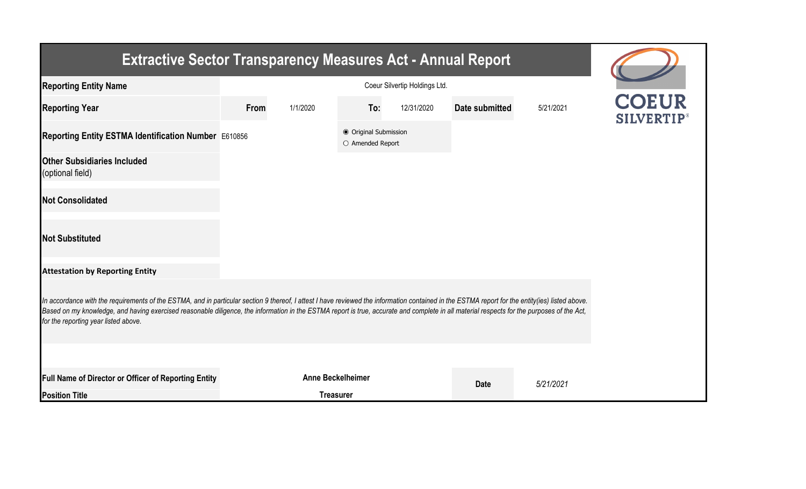| <b>Extractive Sector Transparency Measures Act - Annual Report</b>                                                                                                                                                                                                                                                                                                                                                                    |      |                          |                                           |            |                |           |           |  |  |  |
|---------------------------------------------------------------------------------------------------------------------------------------------------------------------------------------------------------------------------------------------------------------------------------------------------------------------------------------------------------------------------------------------------------------------------------------|------|--------------------------|-------------------------------------------|------------|----------------|-----------|-----------|--|--|--|
| <b>Reporting Entity Name</b>                                                                                                                                                                                                                                                                                                                                                                                                          |      |                          |                                           |            |                |           |           |  |  |  |
| <b>Reporting Year</b>                                                                                                                                                                                                                                                                                                                                                                                                                 | From | 1/1/2020                 | To:                                       | 12/31/2020 | Date submitted | 5/21/2021 | SILVERTIP |  |  |  |
| Reporting Entity ESTMA Identification Number E610856                                                                                                                                                                                                                                                                                                                                                                                  |      |                          | ● Original Submission<br>O Amended Report |            |                |           |           |  |  |  |
| <b>Other Subsidiaries Included</b><br>(optional field)                                                                                                                                                                                                                                                                                                                                                                                |      |                          |                                           |            |                |           |           |  |  |  |
| <b>Not Consolidated</b>                                                                                                                                                                                                                                                                                                                                                                                                               |      |                          |                                           |            |                |           |           |  |  |  |
| <b>Not Substituted</b>                                                                                                                                                                                                                                                                                                                                                                                                                |      |                          |                                           |            |                |           |           |  |  |  |
| <b>Attestation by Reporting Entity</b>                                                                                                                                                                                                                                                                                                                                                                                                |      |                          |                                           |            |                |           |           |  |  |  |
| In accordance with the requirements of the ESTMA, and in particular section 9 thereof, I attest I have reviewed the information contained in the ESTMA report for the entity(ies) listed above.<br>Based on my knowledge, and having exercised reasonable diligence, the information in the ESTMA report is true, accurate and complete in all material respects for the purposes of the Act,<br>for the reporting year listed above. |      |                          |                                           |            |                |           |           |  |  |  |
|                                                                                                                                                                                                                                                                                                                                                                                                                                       |      |                          |                                           |            |                |           |           |  |  |  |
| Full Name of Director or Officer of Reporting Entity                                                                                                                                                                                                                                                                                                                                                                                  |      | <b>Anne Beckelheimer</b> |                                           |            | <b>Date</b>    | 5/21/2021 |           |  |  |  |
| <b>Position Title</b>                                                                                                                                                                                                                                                                                                                                                                                                                 |      | <b>Treasurer</b>         |                                           |            |                |           |           |  |  |  |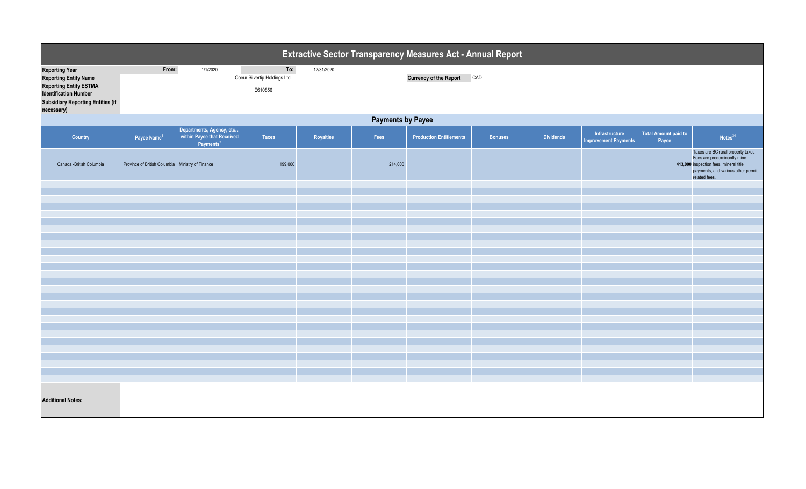| Extractive Sector Transparency Measures Act - Annual Report                                                                                                                      |                                                  |                                                                                 |                                                 |            |         |                                |                |                  |                                               |                                      |                                                                                                                                                                     |
|----------------------------------------------------------------------------------------------------------------------------------------------------------------------------------|--------------------------------------------------|---------------------------------------------------------------------------------|-------------------------------------------------|------------|---------|--------------------------------|----------------|------------------|-----------------------------------------------|--------------------------------------|---------------------------------------------------------------------------------------------------------------------------------------------------------------------|
| <b>Reporting Year</b><br><b>Reporting Entity Name</b><br><b>Reporting Entity ESTMA</b><br><b>Identification Number</b><br><b>Subsidiary Reporting Entities (if</b><br>necessary) | From:                                            | 1/1/2020                                                                        | To:<br>Coeur Silvertip Holdings Ltd.<br>E610856 | 12/31/2020 |         | <b>Currency of the Report</b>  | CAD            |                  |                                               |                                      |                                                                                                                                                                     |
|                                                                                                                                                                                  | <b>Payments by Payee</b>                         |                                                                                 |                                                 |            |         |                                |                |                  |                                               |                                      |                                                                                                                                                                     |
| Country                                                                                                                                                                          | Payee Name <sup>1</sup>                          | Departments, Agency, etc<br>within Payee that Received<br>Payments <sup>2</sup> | Taxes                                           | Royalties  | Fees    | <b>Production Entitlements</b> | <b>Bonuses</b> | <b>Dividends</b> | Infrastructure<br><b>Improvement Payments</b> | <b>Total Amount paid to</b><br>Payee | Notes <sup>34</sup>                                                                                                                                                 |
| Canada -British Columbia                                                                                                                                                         | Province of British Columbia Ministry of Finance |                                                                                 | 199,000                                         |            | 214,000 |                                |                |                  |                                               |                                      | Taxes are BC rural property taxes.<br>Fees are predominantly mine<br>413,000 inspection fees, mineral title<br>payments, and various other permit-<br>related fees. |
|                                                                                                                                                                                  |                                                  |                                                                                 |                                                 |            |         |                                |                |                  |                                               |                                      |                                                                                                                                                                     |
|                                                                                                                                                                                  |                                                  |                                                                                 |                                                 |            |         |                                |                |                  |                                               |                                      |                                                                                                                                                                     |
|                                                                                                                                                                                  |                                                  |                                                                                 |                                                 |            |         |                                |                |                  |                                               |                                      |                                                                                                                                                                     |
|                                                                                                                                                                                  |                                                  |                                                                                 |                                                 |            |         |                                |                |                  |                                               |                                      |                                                                                                                                                                     |
|                                                                                                                                                                                  |                                                  |                                                                                 |                                                 |            |         |                                |                |                  |                                               |                                      |                                                                                                                                                                     |
|                                                                                                                                                                                  |                                                  |                                                                                 |                                                 |            |         |                                |                |                  |                                               |                                      |                                                                                                                                                                     |
|                                                                                                                                                                                  |                                                  |                                                                                 |                                                 |            |         |                                |                |                  |                                               |                                      |                                                                                                                                                                     |
|                                                                                                                                                                                  |                                                  |                                                                                 |                                                 |            |         |                                |                |                  |                                               |                                      |                                                                                                                                                                     |
|                                                                                                                                                                                  |                                                  |                                                                                 |                                                 |            |         |                                |                |                  |                                               |                                      |                                                                                                                                                                     |
|                                                                                                                                                                                  |                                                  |                                                                                 |                                                 |            |         |                                |                |                  |                                               |                                      |                                                                                                                                                                     |
|                                                                                                                                                                                  |                                                  |                                                                                 |                                                 |            |         |                                |                |                  |                                               |                                      |                                                                                                                                                                     |
|                                                                                                                                                                                  |                                                  |                                                                                 |                                                 |            |         |                                |                |                  |                                               |                                      |                                                                                                                                                                     |
|                                                                                                                                                                                  |                                                  |                                                                                 |                                                 |            |         |                                |                |                  |                                               |                                      |                                                                                                                                                                     |
|                                                                                                                                                                                  |                                                  |                                                                                 |                                                 |            |         |                                |                |                  |                                               |                                      |                                                                                                                                                                     |
|                                                                                                                                                                                  |                                                  |                                                                                 |                                                 |            |         |                                |                |                  |                                               |                                      |                                                                                                                                                                     |
|                                                                                                                                                                                  |                                                  |                                                                                 |                                                 |            |         |                                |                |                  |                                               |                                      |                                                                                                                                                                     |
|                                                                                                                                                                                  |                                                  |                                                                                 |                                                 |            |         |                                |                |                  |                                               |                                      |                                                                                                                                                                     |
|                                                                                                                                                                                  |                                                  |                                                                                 |                                                 |            |         |                                |                |                  |                                               |                                      |                                                                                                                                                                     |
|                                                                                                                                                                                  |                                                  |                                                                                 |                                                 |            |         |                                |                |                  |                                               |                                      |                                                                                                                                                                     |
|                                                                                                                                                                                  |                                                  |                                                                                 |                                                 |            |         |                                |                |                  |                                               |                                      |                                                                                                                                                                     |
| <b>Additional Notes:</b>                                                                                                                                                         |                                                  |                                                                                 |                                                 |            |         |                                |                |                  |                                               |                                      |                                                                                                                                                                     |